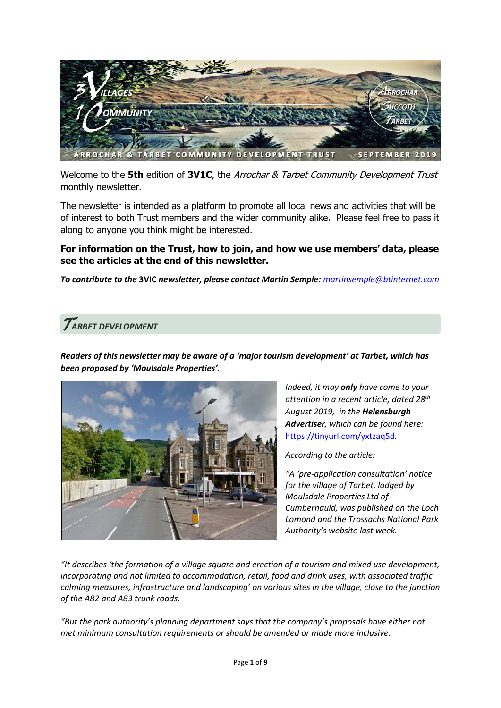

Welcome to the **5th** edition of **3V1C**, the Arrochar & Tarbet Community Development Trust monthly newsletter.

The newsletter is intended as a platform to promote all local news and activities that will be of interest to both Trust members and the wider community alike. Please feel free to pass it along to anyone you think might be interested.

#### **For information on the Trust, how to join, and how we use members' data, please see the articles at the end of this newsletter.**

*To contribute to the* **3VIC** *newsletter, please contact Martin Semple: [martinsemple@btinternet.com](mailto:martinsemple@btinternet.com)*

### T*ARBET DEVELOPMENT*

*Readers of this newsletter may be aware of a 'major tourism development' at Tarbet, which has been proposed by 'Moulsdale Properties'.*



*Indeed, it may only have come to your attention in a recent article, dated 28th August 2019, in the Helensburgh Advertiser, which can be found here:*  <https://tinyurl.com/yxtzaq5d>*.*

*According to the article:*

*"A 'pre-application consultation' notice for the village of Tarbet, lodged by Moulsdale Properties Ltd of Cumbernauld, was published on the Loch Lomond and the Trossachs National Park Authority's website last week.* 

*"It describes 'the formation of a village square and erection of a tourism and mixed use development, incorporating and not limited to accommodation, retail, food and drink uses, with associated traffic calming measures, infrastructure and landscaping' on various sites in the village, close to the junction of the A82 and A83 trunk roads.* 

*"But the park authority's planning department says that the company's proposals have either not met minimum consultation requirements or should be amended or made more inclusive.*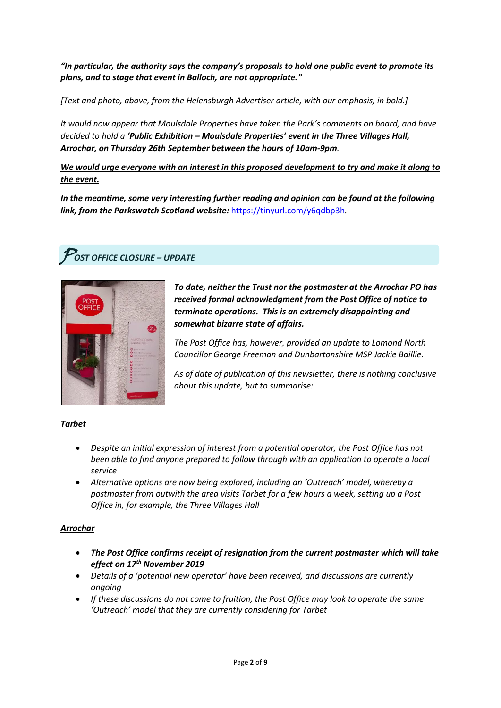*"In particular, the authority says the company's proposals to hold one public event to promote its plans, and to stage that event in Balloch, are not appropriate."* 

*[Text and photo, above, from the Helensburgh Advertiser article, with our emphasis, in bold.]*

*It would now appear that Moulsdale Properties have taken the Park's comments on board, and have decided to hold a 'Public Exhibition – Moulsdale Properties' event in the Three Villages Hall, Arrochar, on Thursday 26th September between the hours of 10am-9pm.*

*We would urge everyone with an interest in this proposed development to try and make it along to the event.*

*In the meantime, some very interesting further reading and opinion can be found at the following link, from the Parkswatch Scotland website:* <https://tinyurl.com/y6qdbp3h>*.*

## P*OST OFFICE CLOSURE – UPDATE*



*To date, neither the Trust nor the postmaster at the Arrochar PO has received formal acknowledgment from the Post Office of notice to terminate operations. This is an extremely disappointing and somewhat bizarre state of affairs.*

*The Post Office has, however, provided an update to Lomond North Councillor George Freeman and Dunbartonshire MSP Jackie Baillie.* 

*As of date of publication of this newsletter, there is nothing conclusive about this update, but to summarise:*

#### *Tarbet*

- *Despite an initial expression of interest from a potential operator, the Post Office has not been able to find anyone prepared to follow through with an application to operate a local service*
- *Alternative options are now being explored, including an 'Outreach' model, whereby a postmaster from outwith the area visits Tarbet for a few hours a week, setting up a Post Office in, for example, the Three Villages Hall*

#### *Arrochar*

- *The Post Office confirms receipt of resignation from the current postmaster which will take effect on 17th November 2019*
- *Details of a 'potential new operator' have been received, and discussions are currently ongoing*
- *If these discussions do not come to fruition, the Post Office may look to operate the same 'Outreach' model that they are currently considering for Tarbet*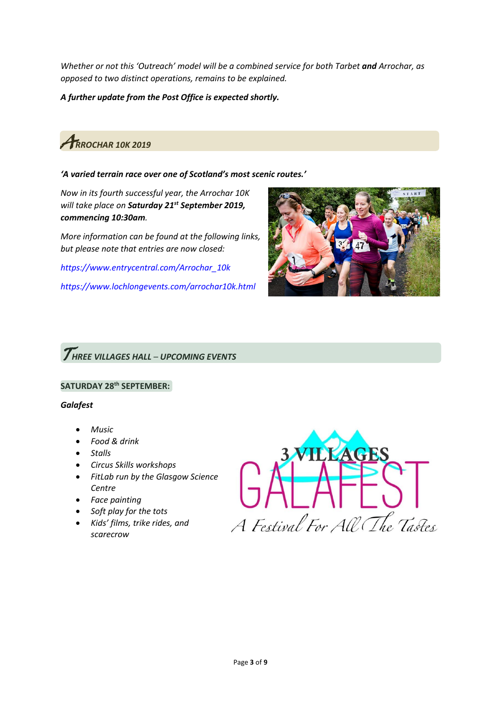*Whether or not this 'Outreach' model will be a combined service for both Tarbet and Arrochar, as opposed to two distinct operations, remains to be explained.* 

*A further update from the Post Office is expected shortly.*



#### *'A varied terrain race over one of Scotland's most scenic routes.'*

*Now in its fourth successful year, the Arrochar 10K will take place on Saturday 21st September 2019, commencing 10:30am.*

*More information can be found at the following links, but please note that entries are now closed:*

*[https://www.entrycentral.com/Arrochar\\_10k](https://www.entrycentral.com/Arrochar_10k)*

*<https://www.lochlongevents.com/arrochar10k.html>*



# T*HREE VILLAGES HALL – UPCOMING EVENTS*

#### **SATURDAY 28th SEPTEMBER:**

#### *Galafest*

- *Music*
- *Food & drink*
- *Stalls*
- *Circus Skills workshops*
- *FitLab run by the Glasgow Science Centre*
- *Face painting*
- *Soft play for the tots*
- *Kids' films, trike rides, and scarecrow*

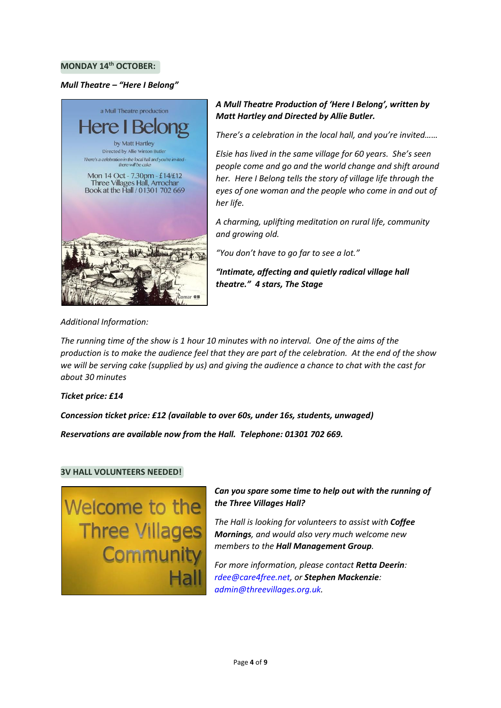#### **MONDAY 14th OCTOBER:**

#### *Mull Theatre – "Here I Belong"*



#### *A Mull Theatre Production of 'Here I Belong', written by Matt Hartley and Directed by Allie Butler.*

*There's a celebration in the local hall, and you're invited……* 

*Elsie has lived in the same village for 60 years. She's seen people come and go and the world change and shift around her. Here I Belong tells the story of village life through the eyes of one woman and the people who come in and out of her life.* 

*A charming, uplifting meditation on rural life, community and growing old.* 

*"You don't have to go far to see a lot."* 

*"Intimate, affecting and quietly radical village hall theatre." 4 stars, The Stage*

*Additional Information:*

*The running time of the show is 1 hour 10 minutes with no interval. One of the aims of the production is to make the audience feel that they are part of the celebration. At the end of the show we will be serving cake (supplied by us) and giving the audience a chance to chat with the cast for about 30 minutes*

#### *Ticket price: £14*

*Concession ticket price: £12 (available to over 60s, under 16s, students, unwaged)*

*Reservations are available now from the Hall. Telephone: 01301 702 669.*

#### **3V HALL VOLUNTEERS NEEDED!**



*Can you spare some time to help out with the running of the Three Villages Hall?* 

*The Hall is looking for volunteers to assist with Coffee Mornings, and would also very much welcome new members to the Hall Management Group.*

*For more information, please contact Retta Deerin: [rdee@care4free.net,](mailto:rdee@care4free.net) or Stephen Mackenzie: [admin@threevillages.org.uk.](mailto:admin@threevillages.org.uk)*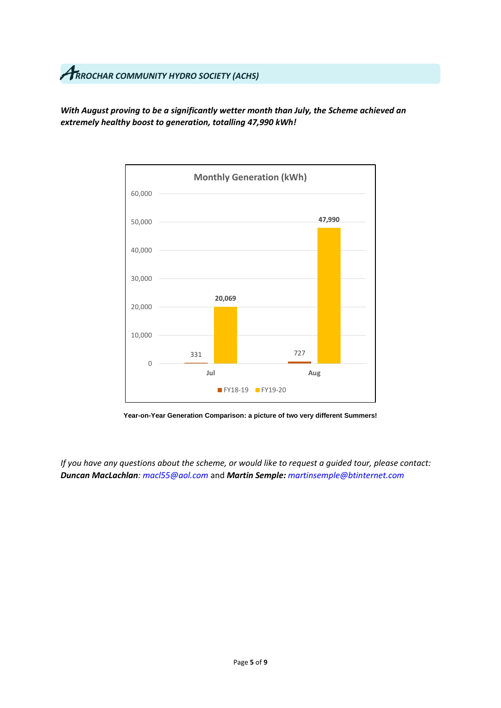# A*RROCHAR COMMUNITY HYDRO SOCIETY (ACHS)*

*With August proving to be a significantly wetter month than July, the Scheme achieved an extremely healthy boost to generation, totalling 47,990 kWh!*



**Year-on-Year Generation Comparison: a picture of two very different Summers!**

*If you have any questions about the scheme, or would like to request a guided tour, please contact: Duncan MacLachlan[: macl55@aol.com](mailto:macl55@aol.com)* and *Martin Semple: [martinsemple@btinternet.com](mailto:martinsemple@btinternet.com)*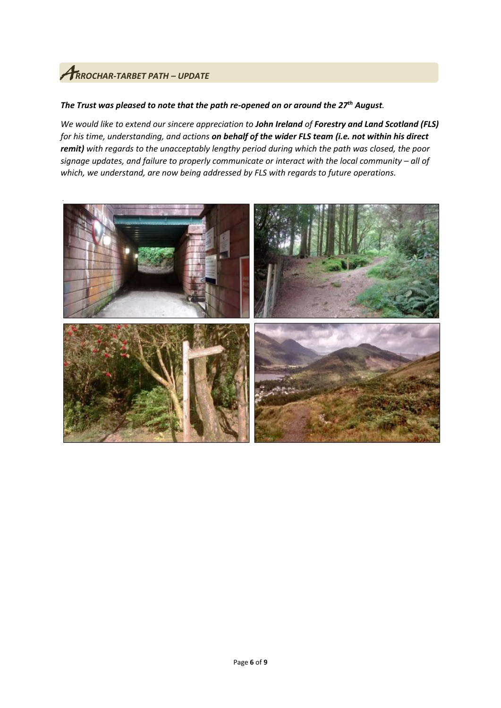# A*RROCHAR-TARBET PATH – UPDATE*

#### *The Trust was pleased to note that the path re-opened on or around the 27th August.*

*We would like to extend our sincere appreciation to John Ireland of Forestry and Land Scotland (FLS) for his time, understanding, and actions on behalf of the wider FLS team (i.e. not within his direct remit) with regards to the unacceptably lengthy period during which the path was closed, the poor signage updates, and failure to properly communicate or interact with the local community – all of which, we understand, are now being addressed by FLS with regards to future operations.* 

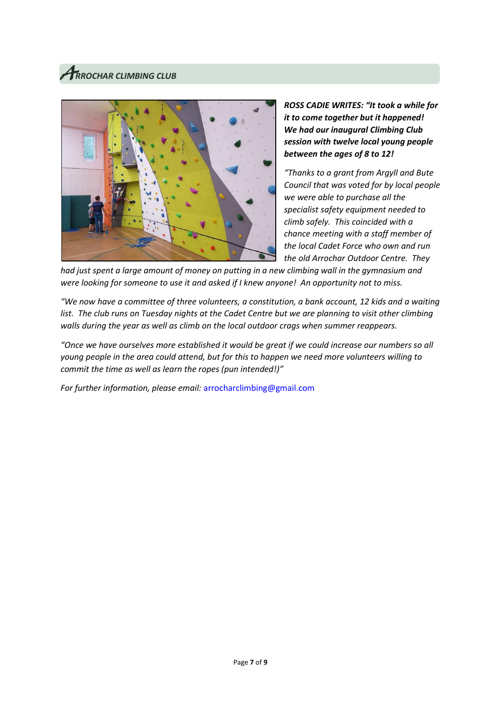# A*RROCHAR CLIMBING CLUB*



*ROSS CADIE WRITES: "It took a while for it to come together but it happened! We had our inaugural Climbing Club session with twelve local young people between the ages of 8 to 12!* 

*"Thanks to a grant from Argyll and Bute Council that was voted for by local people we were able to purchase all the specialist safety equipment needed to climb safely. This coincided with a chance meeting with a staff member of the local Cadet Force who own and run the old Arrochar Outdoor Centre. They* 

*had just spent a large amount of money on putting in a new climbing wall in the gymnasium and were looking for someone to use it and asked if I knew anyone! An opportunity not to miss.*

*"We now have a committee of three volunteers, a constitution, a bank account, 12 kids and a waiting*  list. The club runs on Tuesday nights at the Cadet Centre but we are planning to visit other climbing *walls during the year as well as climb on the local outdoor crags when summer reappears.* 

*"Once we have ourselves more established it would be great if we could increase our numbers so all young people in the area could attend, but for this to happen we need more volunteers willing to commit the time as well as learn the ropes (pun intended!)"*

*For further information, please email:* [arrocharclimbing@gmail.com](mailto:arrocharclimbing@gmail.com)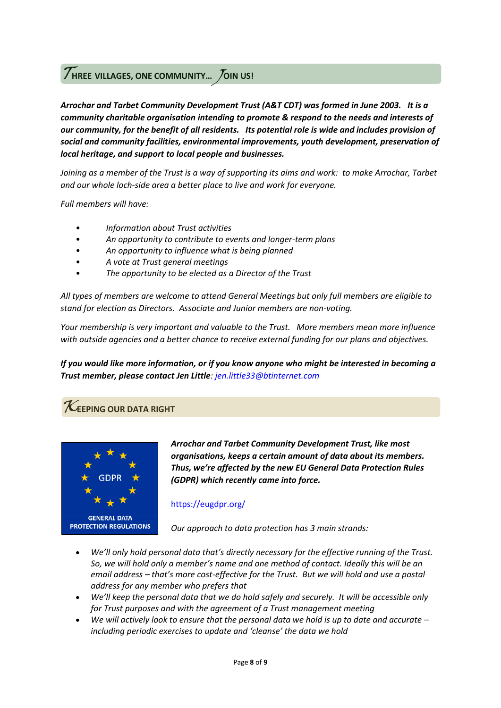### <sup>T</sup>**HREE VILLAGES, ONE COMMUNITY…** J**OIN US!**

*Arrochar and Tarbet Community Development Trust (A&T CDT) was formed in June 2003. It is a community charitable organisation intending to promote & respond to the needs and interests of our community, for the benefit of all residents. Its potential role is wide and includes provision of social and community facilities, environmental improvements, youth development, preservation of local heritage, and support to local people and businesses.*

*Joining as a member of the Trust is a way of supporting its aims and work: to make Arrochar, Tarbet and our whole loch-side area a better place to live and work for everyone.*

*Full members will have:*

- *Information about Trust activities*
- *An opportunity to contribute to events and longer-term plans*
- *An opportunity to influence what is being planned*
- *A vote at Trust general meetings*
- *The opportunity to be elected as a Director of the Trust*

*All types of members are welcome to attend General Meetings but only full members are eligible to stand for election as Directors. Associate and Junior members are non-voting.*

*Your membership is very important and valuable to the Trust. More members mean more influence with outside agencies and a better chance to receive external funding for our plans and objectives.*

*If you would like more information, or if you know anyone who might be interested in becoming a Trust member, please contact Jen Little: [jen.little33@btinternet.com](mailto:jen.little33@btinternet.com)*

### $\boldsymbol{\mathcal{K}}$ EEPING OUR DATA RIGHT



*Arrochar and Tarbet Community Development Trust, like most organisations, keeps a certain amount of data about its members. Thus, we're affected by the new EU General Data Protection Rules (GDPR) which recently came into force.* 

#### <https://eugdpr.org/>

*Our approach to data protection has 3 main strands:*

- *We'll only hold personal data that's directly necessary for the effective running of the Trust. So, we will hold only a member's name and one method of contact. Ideally this will be an email address – that's more cost-effective for the Trust. But we will hold and use a postal address for any member who prefers that*
- *We'll keep the personal data that we do hold safely and securely. It will be accessible only for Trust purposes and with the agreement of a Trust management meeting*
- *We will actively look to ensure that the personal data we hold is up to date and accurate – including periodic exercises to update and 'cleanse' the data we hold*